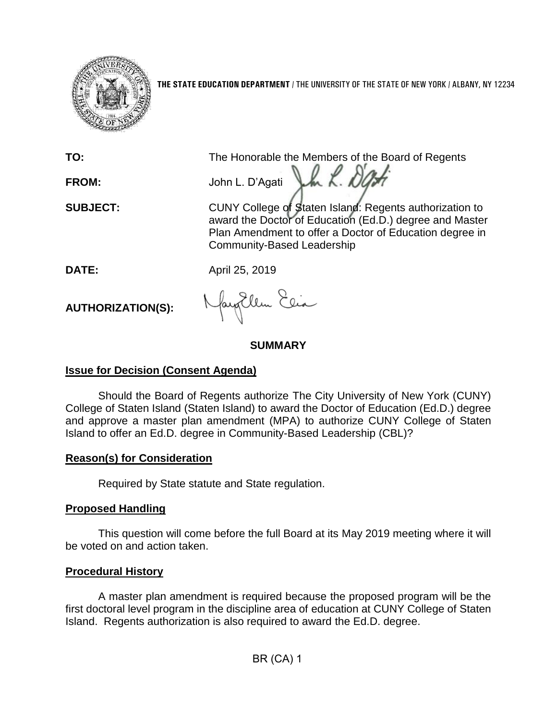

**THE STATE EDUCATION DEPARTMENT** / THE UNIVERSITY OF THE STATE OF NEW YORK / ALBANY, NY 12234

**TO:** The Honorable the Members of the Board of Regents

Jh L. Da

**FROM:** John L. D'Agati

**SUBJECT:** CUNY College of Staten Island: Regents authorization to award the Doctor of Education (Ed.D.) degree and Master Plan Amendment to offer a Doctor of Education degree in Community-Based Leadership

**DATE:** April 25, 2019

**AUTHORIZATION(S):**

Jacqillen Elia

### **SUMMARY**

# **Issue for Decision (Consent Agenda)**

Should the Board of Regents authorize The City University of New York (CUNY) College of Staten Island (Staten Island) to award the Doctor of Education (Ed.D.) degree and approve a master plan amendment (MPA) to authorize CUNY College of Staten Island to offer an Ed.D. degree in Community-Based Leadership (CBL)?

### **Reason(s) for Consideration**

Required by State statute and State regulation.

# **Proposed Handling**

This question will come before the full Board at its May 2019 meeting where it will be voted on and action taken.

# **Procedural History**

A master plan amendment is required because the proposed program will be the first doctoral level program in the discipline area of education at CUNY College of Staten Island. Regents authorization is also required to award the Ed.D. degree.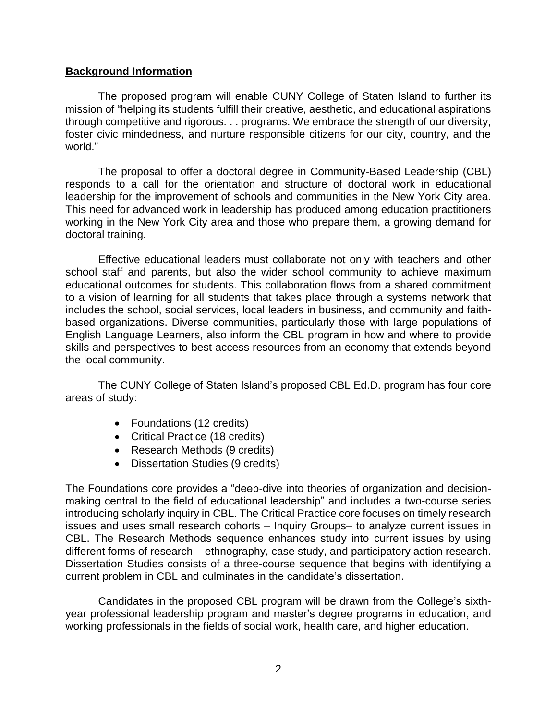### **Background Information**

The proposed program will enable CUNY College of Staten Island to further its mission of "helping its students fulfill their creative, aesthetic, and educational aspirations through competitive and rigorous. . . programs. We embrace the strength of our diversity, foster civic mindedness, and nurture responsible citizens for our city, country, and the world."

The proposal to offer a doctoral degree in Community-Based Leadership (CBL) responds to a call for the orientation and structure of doctoral work in educational leadership for the improvement of schools and communities in the New York City area. This need for advanced work in leadership has produced among education practitioners working in the New York City area and those who prepare them, a growing demand for doctoral training.

Effective educational leaders must collaborate not only with teachers and other school staff and parents, but also the wider school community to achieve maximum educational outcomes for students. This collaboration flows from a shared commitment to a vision of learning for all students that takes place through a systems network that includes the school, social services, local leaders in business, and community and faithbased organizations. Diverse communities, particularly those with large populations of English Language Learners, also inform the CBL program in how and where to provide skills and perspectives to best access resources from an economy that extends beyond the local community.

The CUNY College of Staten Island's proposed CBL Ed.D. program has four core areas of study:

- Foundations (12 credits)
- Critical Practice (18 credits)
- Research Methods (9 credits)
- Dissertation Studies (9 credits)

The Foundations core provides a "deep-dive into theories of organization and decisionmaking central to the field of educational leadership" and includes a two-course series introducing scholarly inquiry in CBL. The Critical Practice core focuses on timely research issues and uses small research cohorts – Inquiry Groups– to analyze current issues in CBL. The Research Methods sequence enhances study into current issues by using different forms of research – ethnography, case study, and participatory action research. Dissertation Studies consists of a three-course sequence that begins with identifying a current problem in CBL and culminates in the candidate's dissertation.

Candidates in the proposed CBL program will be drawn from the College's sixthyear professional leadership program and master's degree programs in education, and working professionals in the fields of social work, health care, and higher education.